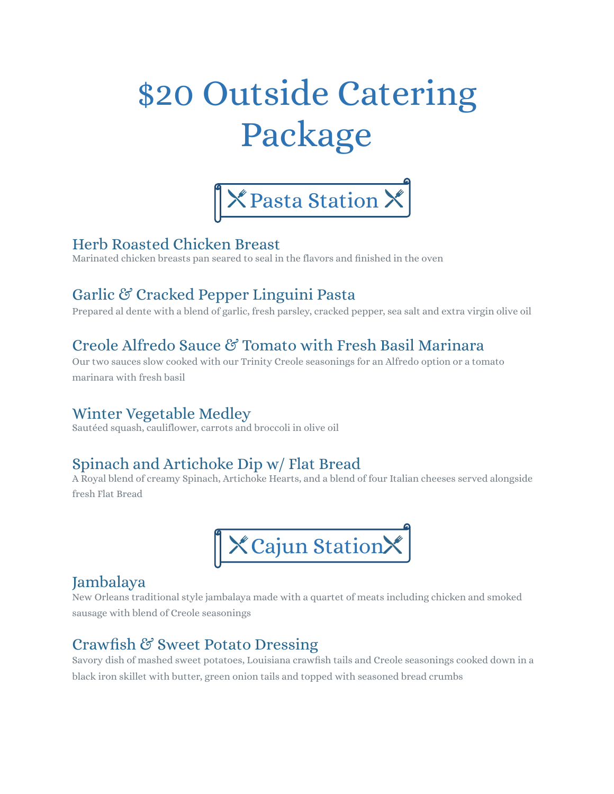# \$20 Outside Catering Package



#### Herb Roasted Chicken Breast

Marinated chicken breasts pan seared to seal in the flavors and finished in the oven

# Garlic & Cracked Pepper Linguini Pasta

Prepared al dente with a blend of garlic, fresh parsley, cracked pepper, sea salt and extra virgin olive oil

## Creole Alfredo Sauce & Tomato with Fresh Basil Marinara

Our two sauces slow cooked with our Trinity Creole seasonings for an Alfredo option or a tomato marinara with fresh basil

#### Winter Vegetable Medley

Sautéed squash, cauliflower, carrots and broccoli in olive oil

## Spinach and Artichoke Dip w/ Flat Bread

A Royal blend of creamy Spinach, Artichoke Hearts, and a blend of four Italian cheeses served alongside fresh Flat Bread



#### Jambalaya

New Orleans traditional style jambalaya made with a quartet of meats including chicken and smoked sausage with blend of Creole seasonings

## Crawfish & Sweet Potato Dressing

Savory dish of mashed sweet potatoes, Louisiana crawfish tails and Creole seasonings cooked down in a black iron skillet with butter, green onion tails and topped with seasoned bread crumbs